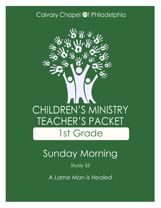### Calvary Chapel @f Philadelphia



# Sunday Morning

Study 35

*A Lame Man is Healed*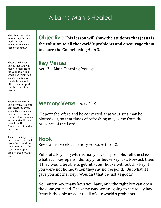#### A Lame Man is Healed

The Objective is the key concept for this weeks lesson. It should be the main focus of the study

These are the key verses that you will find helpful in teaching your study this week. The "Main passage" is the basis of the study, where the other verse support the objective of the lesson.

There is a memory verse for the students that relates to every study. If a student can memorize the verse for the following week you may give them a prize from the "reward box" found on your cart.

An introductory activity or question that will settle the class, draw their attention to the study and prepare their hearts for God's Word.

**Objective This lesson will show the students that Jesus is the solution to all the world's problems and encourage them to share the Gospel using Acts 3.**

**Key Verses** Acts 3—Main Teaching Passage

#### **Memory Verse** - Acts 3:19

"Repent therefore and be converted, that your sins may be blotted out, so that times of refreshing may come from the presence of the Lord."

#### **Hook**

Review last week's memory verse, Acts 2:42.

Pull out a key ring with as many keys as possible. Tell the class what each key opens. Identify your house key last. Now ask them if they would be able to get into your house without this key if you were not home. When they say no, respond, "But what if I gave you another key? Wouldn't that be just as good?"

No matter how many keys you have, only the right key can open the door you need. The same way, we are going to see today how Jesus is the only answer to all of our world's problems.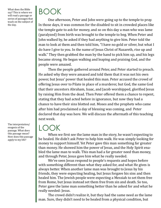What does the Bible say? This is where we will read a passage or series of passages that teach on the subject of the day.

BOOK

One afternoon, Peter and John were going up to the temple to pray. In those days, it was common for the disabled to sit in crowded places like the temple gate to ask for money, and so on this day a man who was lame (paralyzed) from birth was brought to the temple to beg. When Peter and John walked by, he asked if they had anything to give him. Peter told the man to look at them and then told him, "I have no gold or silver, but what I do have I give to you. In the name of Jesus Christ of Nazareth, rise up and walk." They then grabbed the man by the hand to pick him up, and his legs became strong. He began walking and leaping and praising God, and the people were amazed.

Then the people gathered around Peter, and Peter started to preach. He asked why they were amazed and told them that it was not his own power, but Jesus' power that healed this man. Peter accused the crowd of offering Jesus over to Pilate in place of a murderer, but God, the same God that their ancestors Abraham, Isaac, and Jacob worshipped, glorified Jesus by raising Him from the dead. Then Peter offered them a chance to repent, stating that they had acted before in ignorance, but now they had a chance to have their sins blotted out. Moses and the prophets who came after him had proclaimed a day of blessing was coming, and Peter declared that day was here. We will discuss the aftermath of this teaching next week.

### LOOK

When we first see the lame man in the story, he wasn't expecting to be healed. He didn't ask Peter to help him walk. He was simply looking for money to support himself. Yet Peter gave this man something far greater than money. He showed him the power of Jesus, and the Holy Spirit enabled the lame man to walk. This man had a far greater need than money, and through Peter, Jesus gave him what he really needed.

We've seen Jesus respond to people's requests and hopes before with something different than what they asked for, and what He gives is always better. When another lame man was brought to Jesus by his friends, they were expecting healing, but Jesus forgave his sins and then healed him. The Jewish people were expecting a Messiah to set them free from Rome, but Jesus instead set them free from sin and death. So too, Peter gave the lame man something better than he asked for and what he really needed: Jesus.

The crowd didn't realize it, but they had the same need as the lame man. Sure, they didn't need to be healed from a physical condition, but

The interpretation/ exegesis of the passage. What does this passage mean? How does this passage apply to my life?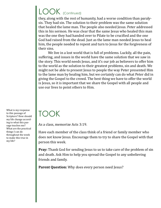# LOOK (Continued)

they, along with the rest of humanity, had a worse condition than paralysis. They had sin. The solution to their problem was the same solution that healed the lame man. The people also needed Jesus. Peter addressed this in his sermon. He was clear that the same Jesus who healed this man was the one they had handed over to Pilate to be crucified and the one God had raised from the dead. Just as the lame man needed Jesus to heal him, the people needed to repent and turn to Jesus for the forgiveness of their sins.

We live in a lost world that is full of problems. Luckily, all the pain, suffering, and issues in the world have the same solution that we saw in the story. This world needs Jesus, and it's our job as believers to offer him to the world as the solution to their greatest problems, sin and death. We might not be able to present Jesus to people the way Peter presented Him to the lame man by healing him, but we certainly can do what Peter did in giving the Gospel to the crowd. The best thing we have to offer the world is Jesus, so it is important that we share the Gospel with all people and use our lives to point others to Him.

### TOOK

As a class, memorize Acts 3:19.

Have each member of the class think of a friend or family member who does not know Jesus. Encourage them to try to share the Gospel with that person this week.

**Pray:** Thank God for sending Jesus to us to take care of the problem of sin and death. Ask Him to help you spread the Gospel to any unbelieving friends and family.

Parent Question: Why does every person need Jesus?

What is my response to this passage of Scripture? How should my life change according to what this passage teaches me? What are the practical things I can do throughout the week to make this true in my life?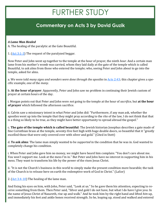## FURTHER STUDY

#### **Commentary on Acts 3 by David Guzik**

#### *A Lame Man Healed*

A. The healing of the paralytic at the Gate Beautiful.

1. [\(Act 3:1](https://www.blueletterbible.org/kjv/acts/3/1-3/s_1021001)-3) The request of the paralyzed beggar.

Now Peter and John went up together to the temple at the hour of prayer, the ninth *hour.* And a certain man lame from his mother's womb was carried, whom they laid daily at the gate of the temple which is called Beautiful, to ask alms from those who entered the temple; who, seeing Peter and John about to go into the temple, asked for alms.

a. We were told *many signs and wonders were done through the apostles* in [Acts 2:43;](https://www.blueletterbible.org/kjv/acts/2/43/s_1020043) this chapter gives a specific example, one of the *many*.

b. **At the hour of prayer**: Apparently, Peter and John saw no problem in continuing their Jewish custom of prayer at certain hours of the day.

i. Morgan points out that Peter and John were *not* going to the temple at the hour of *sacrifice*, but **at the hour of prayer** which followed the afternoon sacrifice.

ii. Calvin saw a missionary intent in what Peter and John did: "Furthermore, if any man ask, whether the apostles went up into the temple that they might pray according to the rite of the law, I do not think that that is a thing so likely to be true, as they might have better opportunity to spread abroad the gospel."

c. **The gate of the temple which is called beautiful**: The Jewish historian Josephus describes a gate made of fine Corinthian brass at the temple, seventy-five feet high with huge double doors, so beautiful that it "greatly excelled those that were only covered over with silver and gold." (Cited in Stott)

d. **To ask alms**: The lame man simply wanted to be *supported* in the condition that he was in. God wanted to completely change his condition.

i. When Peter and John gave him no money, we might have heard him complain: "You don't care about me. You won't support me. Look at the mess I'm in." But Peter and John have no interest in supporting him in his mess. They want to transform his life by the power of the risen Jesus Christ.

ii. "It is not the Church's business in this world to simply make the present condition more bearable; the task of the Church is to release here on earth the redemptive work of God in Christ." (LaSor)

2.  $(Act \ 3:4-10)$  The healing of the lame man.

And fixing his eyes on him, with John, Peter said, "Look at us." So he gave them his attention, expecting to receive something from them. Then Peter said, "Silver and gold I do not have, but what I do have I give you: In the name of Jesus Christ of Nazareth, rise up and walk." And he took him by the right hand and lifted *him* up, and immediately his feet and ankle bones received strength. So he, leaping up, stood and walked and entered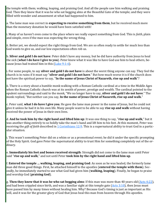the temple with them; walking, leaping, and praising God. And all the people saw him walking and praising God. Then they knew that it was he who sat begging alms at the Beautiful Gate of the temple; and they were filled with wonder and amazement at what had happened to him.

a. The lame man was correct in **expecting to receive something from them**, but he received much more than the monetary donation he would have been satisfied with!

i. Many of us haven't even come to the place where we really expect something from God. This is *faith*, plain and simple, even if the man was expecting the wrong thing.

ii. Better yet, we should expect the right things from God. We are so often ready to settle for much less than God wants to give us, and our low expectations often rob us.

b. **Silver and gold I do not have**: Peter didn't have any money, but he did have authority from Jesus to heal the sick (**what I do have I give to you**). Peter knew what it was like to have God use him to heal others, be-cause Jesus had trained him in this ([Luke 9:1](https://www.blueletterbible.org/kjv/luke/9/1-6/s_982001)-6).

i. For some people, to say **silver and gold I do not have** is about the worst thing anyone can say. They feel the church is in ruins if it must say "**silver and gold I do not have**." But how much worse it is if the church does not have the spiritual power to say, "**In the name of Jesus Christ of Nazareth, rise up and walk**"?

ii. There is a story about a humble monk walking with a Roman Catholic cardinal at a time in the Middle Ages when the Roman Catholic church was at its zenith of power, prestige and wealth. The cardinal pointed to the opulent surroundings and said to the monk, "We no longer have to say, **silver and gold I do not have***.*" The monk replied, "But neither can you say, **In the name of Jesus Christ of Nazareth, rise up and walk**."

c. Peter said, **what I do have I give you**. He gave the lame man power in the name of Jesus, but he could not give it unless he had it in his own life. Many people want to be able to say **rise up and walk** without having received the power of Jesus in their own lives.

d. **And he took him by the right hand and lifted him up**: It was one thing to say, "**rise up and walk**," but it was another thing entirely to so boldly take the man's hand and lift him to his feet. At this moment, Peter was receiving the *gift of faith* described in [1 Corinthians 12:9.](https://www.blueletterbible.org/kjv/1corinthians/12/9/s_1074009) This is a supernatural ability to trust God in a particular situation.

i. This wasn't something Peter did on a whim or as a promotional event; he did it under the specific prompting of the Holy Spirit. God gave Peter the supernatural ability to trust Him for something completely out of the ordinary.

e. **Immediately his feet and bones received strength**: Strength did not come to the lame man until Peter said "**rise up and walk**," and not until Peter **took him by the right hand and lifted him up**.

f. **Entered the temple … walking, leaping, and praising God**: As soon as he was healed, the formerly lame man did three good things. First, he attached himself to the apostles (**entered the temple with them**). Secondly, he immediately started to use what God had given him (**walking, leaping**). Finally, he began to praise and worship God (**praising God**).

g. **Then they knew that it was he who sat begging alms**: If this man was more than 40 years old ([Acts 4:22\),](https://www.blueletterbible.org/kjv/acts/4/22/s_1022022) and had been crippled since birth, and was a familiar sight at this temple gate  $(Acts 3:10)$ , then Jesus must have passed him by many times without healing him. Why? Because God's timing is just as important as His will, and it was for the greater glory of God that Jesus heal this man from heaven through His apostles.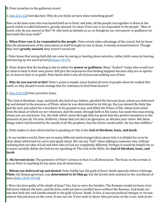B. Peter preaches to the gathered crowd.

1. ([Act 3:11](https://www.blueletterbible.org/kjv/acts/3/11-12/s_1021011)-12) Introduction: Why do you think *we* have done something great?

Now as the lame man who was healed held on to Peter and John, all the people ran together to them in the porch which is called Solomon's, greatly amazed. So when Peter saw *it,* he responded to the people: "Men of Israel, why do you marvel at this? Or why look so intently at us, as though by our own power or godliness we had made this man walk?"

a. **When Peter saw it, he responded to the people**: Peter wisely takes advantage of the crowd, but he knew that the phenomenon of the miraculous in itself brought no one to Jesus, it merely aroused interest. Though they were **greatly amazed**, they weren't saved yet!

i. Peter knew that saving faith did not come by seeing or hearing about miracles, rather *faith comes by hearing, and hearing by the word of God* [\(Romans 10:17\).](https://www.blueletterbible.org/kjv/romans/10/17/s_1056017)

b. Peter denies that the healing is due to either his **power or godliness**. Many "healers" today who would never claim to heal in their own power still give the impression that healing happens because they are so spiritual, so close to God, or so godly. Peter knew that it was all of Jesus and nothing was of him.

c. **Why do you marvel at this?** Peter's point is simple: Jesus healed all sorts of people when He walked this earth, so why should it seem strange that He continues to heal from heaven?

2. (**[Act 3:13](https://www.blueletterbible.org/kjv/acts/3/13-18/s_1021013)-18**) Peter preaches Jesus.

"The God of Abraham, Isaac, and Jacob, the God of our fathers, glorified His Servant Jesus, whom you delivered up and denied in the presence of Pilate, when he was determined to let *Him* go. But you denied the Holy One and the Just, and asked for a murderer to be granted to you, and killed the Prince of life, whom God raised from the dead, of which we are witnesses. And His name, through faith in His name, has made this man strong, whom you see and know. Yes, the faith which *comes* through Him has given him this perfect soundness in the presence of you all. Yet now, brethren, I know that you did *it* in ignorance, as *did* also your rulers. But those things which God foretold by the mouth of all His prophets, that the Christ would suffer, He has thus fulfilled."

a. Peter makes it clear which God he is speaking of; this is the **God of Abraham, Isaac, and Jacob**.

i. In our modern world, there are so many different (and strange) ideas about God, it is helpful for us to be clear about which God we serve and speak about. We can say "God" when talking to someone else, without realizing that our idea of God and their idea of God are completely different. Perhaps it would be helpful for us to more carefully define the God we are speaking of: The God of the Bible, the **God of Abraham, Isaac, and Jacob**.

b. **His Servant Jesus**: The greatness of Peter's sermon is that it is all about Jesus. The focus on the sermon is not on Peter or anything he has done, but all about Jesus.

c. **Whom you delivered up and denied**: Peter boldly lays the guilt of Jesus' death squarely where it belongs. **Pilate**, the Roman governor, was **determined to let Him go**, but the Jewish mob insisted on the crucifixion of Jesus [\(John 18:29](https://www.blueletterbible.org/kjv/john/18/29-40/s_1015029)-19:16).

i. Were the Jews guilty of the death of Jesus? Yes, but so were the Gentiles. The Romans would not have crucified Jesus without the Jews, and the Jews could not have crucified Jesus without the Romans. God made certain that both Jew and Gentile shared in the guilt of Jesus' death. In fact, it was not political intrigue or circumstances that put Jesus on the cross. It was our sin. If you want to know who put Jesus on the cross, look at me -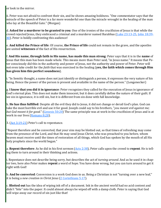or look in the mirror.

ii. Peter was not afraid to confront their sin, and he shows amazing boldness. "One commentator says that the miracle of the speech of Peter is a far more wonderful one than the miracle wrought in the healing of the man who lay at the Beautiful Gate." (Morgan)

d. **Asked for a murderer to be granted to you**: One of the ironies of the crucifixion of Jesus is that while the crowd rejected Jesus, they embraced a criminal and a murderer named Barabbas [\(Luke 23:13](https://www.blueletterbible.org/kjv/luke/23/13-25/s_996013)-25, [John 18:39](https://www.blueletterbible.org/kjv/john/18/39-40/s_1015039)-[40\)](https://www.blueletterbible.org/kjv/john/18/39-40/s_1015039). Peter is boldly confronting this audience!

e. **And killed the Prince of life**: Of course, **the Prince of life** could not remain in the grave, and the apostles are united **witnesses** of the fact of His resurrection.

f. **And His name, through faith in His name, has made this man strong**: Peter says that it is in the **name** of Jesus that this man has been made whole. This means more than Peter said, "in Jesus name." It means that Peter consciously did this in the authority and power of Jesus, not the authority and power of Peter. Peter will not even take credit for the *faith* that was exercised in the healing (**yes, the faith which comes through Him has given him this perfect soundness**).

i. "In Semitic thought, a name does not just identify or distinguish a person, it expresses the very nature of his being. Hence the power of the person is present and available in the name of the person." (Longenecker)

g. **I know that you did it in ignorance**: Peter recognizes they called for the execution of Jesus in ignorance of God's eternal plan. This does not make them innocent, but it does carefully define the nature of their guilt. If we sin in ignorance, it is still sin, but it is different from sin done with full knowledge.

h. **He has thus fulfilled**: Despite all the evil they did to Jesus, it did not change or derail God's plan. God can take the most horrible evil and use it for good. Joseph could say to his brothers, "*you meant evil against me; but God meant it for good*." ([Genesis 50:20\)](https://www.blueletterbible.org/kjv/genesis/50/20/s_50020) The same principle was at work in the crucifixion of Jesus and is at work in our lives [\(Romans 8:28\).](https://www.blueletterbible.org/kjv/romans/8/28/s_1054028)

3.  $(Act\ 3:19-21)$  Peter's call to repentance.

"Repent therefore and be converted, that your sins may be blotted out, so that times of refreshing may come from the presence of the Lord, and that He may send Jesus Christ, who was preached to you before, whom heaven must receive until the times of restoration of all things, which God has spoken by the mouth of all His holy prophets since the world began."

a. **Repent therefore**: As he did in his first sermon ([Acts 2:38\)](https://www.blueletterbible.org/kjv/acts/2/38/s_1020038), Peter calls upon the crowd to **repent**. He is telling them to turn around in their thinking and actions.

i. Repentance does not describe being sorry, but describes the act of *turning around*. And as he used it in chapter two, here also Peter makes **repent** a word of *hope*. You have done wrong, but you can turn around to get it right with God!

b. **And be converted**: Conversion is a work God does in us. Being a Christian is not "turning over a new leaf," it is being a *new creation in Christ Jesus* ([2 Corinthians 5:17\).](https://www.blueletterbible.org/kjv/2corinthians/5/17/s_1083017)

c. **Blotted out** has the idea of wiping ink off of a document. Ink in the ancient world had no acid content and didn't "bite" into the paper. It could almost always be wiped off with a damp cloth. Peter is saying that God will wipe away our record of sin just like that!